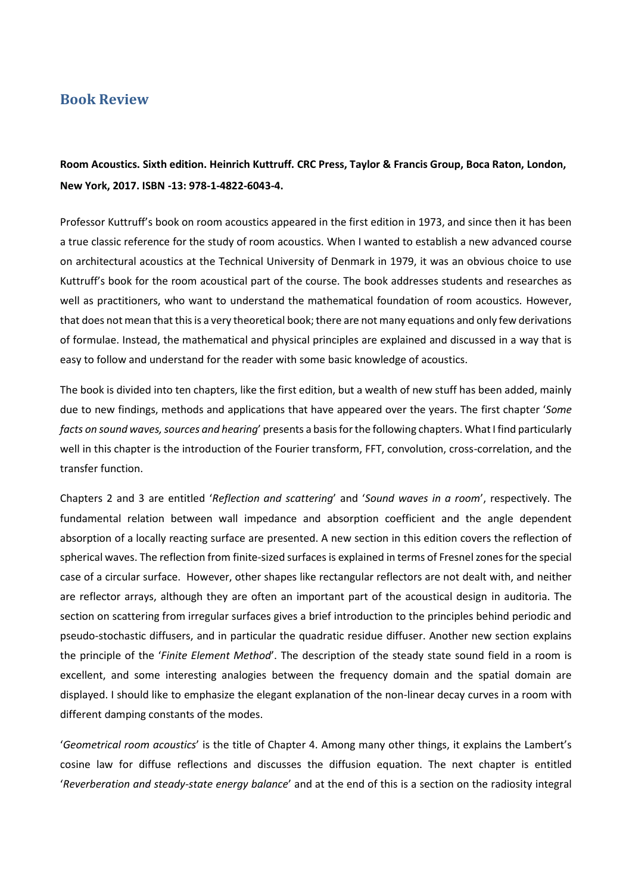## **Book Review**

**Room Acoustics. Sixth edition. Heinrich Kuttruff. CRC Press, Taylor & Francis Group, Boca Raton, London, New York, 2017. ISBN -13: 978-1-4822-6043-4.**

Professor Kuttruff's book on room acoustics appeared in the first edition in 1973, and since then it has been a true classic reference for the study of room acoustics. When I wanted to establish a new advanced course on architectural acoustics at the Technical University of Denmark in 1979, it was an obvious choice to use Kuttruff's book for the room acoustical part of the course. The book addresses students and researches as well as practitioners, who want to understand the mathematical foundation of room acoustics. However, that does not mean that this is a very theoretical book; there are not many equations and only few derivations of formulae. Instead, the mathematical and physical principles are explained and discussed in a way that is easy to follow and understand for the reader with some basic knowledge of acoustics.

The book is divided into ten chapters, like the first edition, but a wealth of new stuff has been added, mainly due to new findings, methods and applications that have appeared over the years. The first chapter '*Some facts on sound waves, sources and hearing*' presents a basis for the following chapters. What I find particularly well in this chapter is the introduction of the Fourier transform, FFT, convolution, cross-correlation, and the transfer function.

Chapters 2 and 3 are entitled '*Reflection and scattering*' and '*Sound waves in a room*', respectively. The fundamental relation between wall impedance and absorption coefficient and the angle dependent absorption of a locally reacting surface are presented. A new section in this edition covers the reflection of spherical waves. The reflection from finite-sized surfaces is explained in terms of Fresnel zones for the special case of a circular surface. However, other shapes like rectangular reflectors are not dealt with, and neither are reflector arrays, although they are often an important part of the acoustical design in auditoria. The section on scattering from irregular surfaces gives a brief introduction to the principles behind periodic and pseudo-stochastic diffusers, and in particular the quadratic residue diffuser. Another new section explains the principle of the '*Finite Element Method*'. The description of the steady state sound field in a room is excellent, and some interesting analogies between the frequency domain and the spatial domain are displayed. I should like to emphasize the elegant explanation of the non-linear decay curves in a room with different damping constants of the modes.

'*Geometrical room acoustics*' is the title of Chapter 4. Among many other things, it explains the Lambert's cosine law for diffuse reflections and discusses the diffusion equation. The next chapter is entitled '*Reverberation and steady-state energy balance*' and at the end of this is a section on the radiosity integral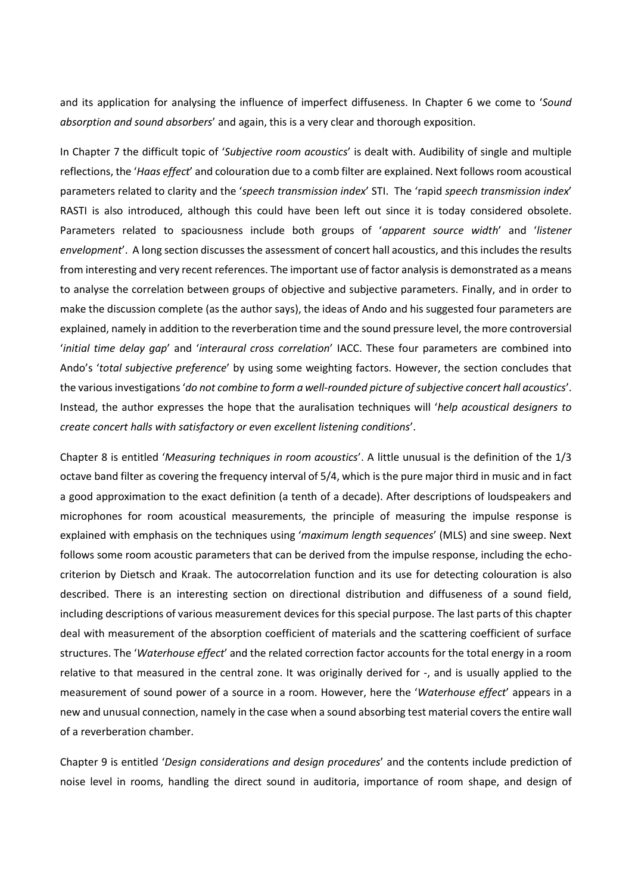and its application for analysing the influence of imperfect diffuseness. In Chapter 6 we come to '*Sound absorption and sound absorbers*' and again, this is a very clear and thorough exposition.

In Chapter 7 the difficult topic of '*Subjective room acoustics*' is dealt with. Audibility of single and multiple reflections, the '*Haas effect*' and colouration due to a comb filter are explained. Next follows room acoustical parameters related to clarity and the '*speech transmission index*' STI. The 'rapid *speech transmission index*' RASTI is also introduced, although this could have been left out since it is today considered obsolete. Parameters related to spaciousness include both groups of '*apparent source width*' and '*listener envelopment*'. A long section discusses the assessment of concert hall acoustics, and this includes the results from interesting and very recent references. The important use of factor analysisis demonstrated as a means to analyse the correlation between groups of objective and subjective parameters. Finally, and in order to make the discussion complete (as the author says), the ideas of Ando and his suggested four parameters are explained, namely in addition to the reverberation time and the sound pressure level, the more controversial '*initial time delay gap*' and '*interaural cross correlation*' IACC. These four parameters are combined into Ando's '*total subjective preference*' by using some weighting factors. However, the section concludes that the various investigations '*do not combine to form a well-rounded picture of subjective concert hall acoustics*'. Instead, the author expresses the hope that the auralisation techniques will '*help acoustical designers to create concert halls with satisfactory or even excellent listening conditions*'.

Chapter 8 is entitled '*Measuring techniques in room acoustics*'. A little unusual is the definition of the 1/3 octave band filter as covering the frequency interval of 5/4, which is the pure major third in music and in fact a good approximation to the exact definition (a tenth of a decade). After descriptions of loudspeakers and microphones for room acoustical measurements, the principle of measuring the impulse response is explained with emphasis on the techniques using '*maximum length sequences*' (MLS) and sine sweep. Next follows some room acoustic parameters that can be derived from the impulse response, including the echocriterion by Dietsch and Kraak. The autocorrelation function and its use for detecting colouration is also described. There is an interesting section on directional distribution and diffuseness of a sound field, including descriptions of various measurement devices for this special purpose. The last parts of this chapter deal with measurement of the absorption coefficient of materials and the scattering coefficient of surface structures. The '*Waterhouse effect*' and the related correction factor accounts for the total energy in a room relative to that measured in the central zone. It was originally derived for -, and is usually applied to the measurement of sound power of a source in a room. However, here the '*Waterhouse effect*' appears in a new and unusual connection, namely in the case when a sound absorbing test material covers the entire wall of a reverberation chamber.

Chapter 9 is entitled '*Design considerations and design procedures*' and the contents include prediction of noise level in rooms, handling the direct sound in auditoria, importance of room shape, and design of